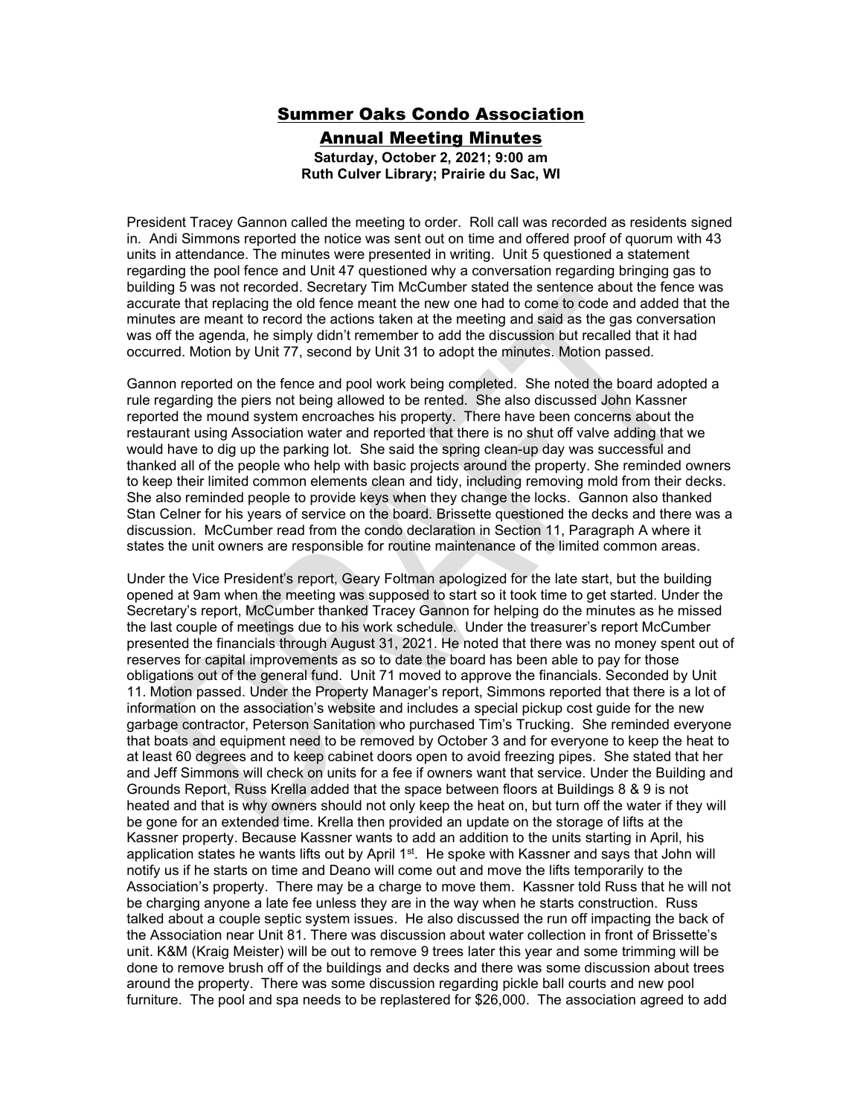## Summer Oaks Condo Association

Annual Meeting Minutes

Saturday, October 2, 2021; 9:00 am Ruth Culver Library; Prairie du Sac, WI

President Tracey Gannon called the meeting to order. Roll call was recorded as residents signed in. Andi Simmons reported the notice was sent out on time and offered proof of quorum with 43 units in attendance. The minutes were presented in writing. Unit 5 questioned a statement regarding the pool fence and Unit 47 questioned why a conversation regarding bringing gas to building 5 was not recorded. Secretary Tim McCumber stated the sentence about the fence was accurate that replacing the old fence meant the new one had to come to code and added that the minutes are meant to record the actions taken at the meeting and said as the gas conversation was off the agenda, he simply didn't remember to add the discussion but recalled that it had occurred. Motion by Unit 77, second by Unit 31 to adopt the minutes. Motion passed.

Gannon reported on the fence and pool work being completed. She noted the board adopted a rule regarding the piers not being allowed to be rented. She also discussed John Kassner reported the mound system encroaches his property. There have been concerns about the restaurant using Association water and reported that there is no shut off valve adding that we would have to dig up the parking lot. She said the spring clean-up day was successful and thanked all of the people who help with basic projects around the property. She reminded owners to keep their limited common elements clean and tidy, including removing mold from their decks. She also reminded people to provide keys when they change the locks. Gannon also thanked Stan Celner for his years of service on the board. Brissette questioned the decks and there was a discussion. McCumber read from the condo declaration in Section 11, Paragraph A where it states the unit owners are responsible for routine maintenance of the limited common areas.

Under the Vice President's report, Geary Foltman apologized for the late start, but the building opened at 9am when the meeting was supposed to start so it took time to get started. Under the Secretary's report, McCumber thanked Tracey Gannon for helping do the minutes as he missed the last couple of meetings due to his work schedule. Under the treasurer's report McCumber presented the financials through August 31, 2021. He noted that there was no money spent out of reserves for capital improvements as so to date the board has been able to pay for those obligations out of the general fund. Unit 71 moved to approve the financials. Seconded by Unit 11. Motion passed. Under the Property Manager's report, Simmons reported that there is a lot of information on the association's website and includes a special pickup cost guide for the new garbage contractor, Peterson Sanitation who purchased Tim's Trucking. She reminded everyone that boats and equipment need to be removed by October 3 and for everyone to keep the heat to at least 60 degrees and to keep cabinet doors open to avoid freezing pipes. She stated that her and Jeff Simmons will check on units for a fee if owners want that service. Under the Building and Grounds Report, Russ Krella added that the space between floors at Buildings 8 & 9 is not heated and that is why owners should not only keep the heat on, but turn off the water if they will be gone for an extended time. Krella then provided an update on the storage of lifts at the Kassner property. Because Kassner wants to add an addition to the units starting in April, his application states he wants lifts out by April 1<sup>st</sup>. He spoke with Kassner and says that John will notify us if he starts on time and Deano will come out and move the lifts temporarily to the Association's property. There may be a charge to move them. Kassner told Russ that he will not be charging anyone a late fee unless they are in the way when he starts construction. Russ talked about a couple septic system issues. He also discussed the run off impacting the back of the Association near Unit 81. There was discussion about water collection in front of Brissette's unit. K&M (Kraig Meister) will be out to remove 9 trees later this year and some trimming will be done to remove brush off of the buildings and decks and there was some discussion about trees around the property. There was some discussion regarding pickle ball courts and new pool furniture. The pool and spa needs to be replastered for \$26,000. The association agreed to add